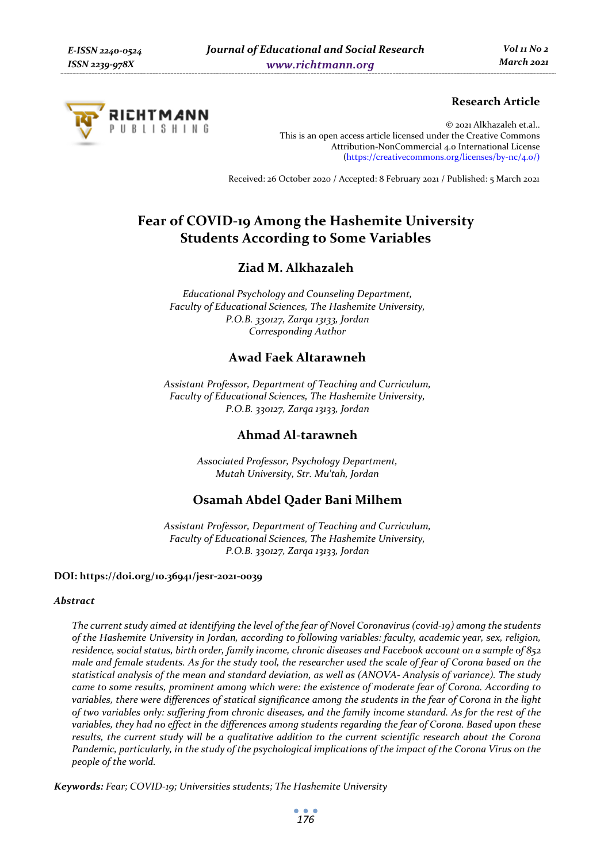

# **Research Article**

© 2021 Alkhazaleh et.al.. This is an open access article licensed under the Creative Commons Attribution-NonCommercial 4.0 International License (https://creativecommons.org/licenses/by-nc/4.0/)

Received: 26 October 2020 / Accepted: 8 February 2021 / Published: 5 March 2021

# **Fear of COVID-19 Among the Hashemite University Students According to Some Variables**

# **Ziad M. Alkhazaleh**

*Educational Psychology and Counseling Department, Faculty of Educational Sciences, The Hashemite University, P.O.B. 330127, Zarqa 13133, Jordan Corresponding Author* 

# **Awad Faek Altarawneh**

*Assistant Professor, Department of Teaching and Curriculum, Faculty of Educational Sciences, The Hashemite University, P.O.B. 330127, Zarqa 13133, Jordan* 

# **Ahmad Al-tarawneh**

*Associated Professor, Psychology Department, Mutah University, Str. Mu'tah, Jordan* 

# **Osamah Abdel Qader Bani Milhem**

*Assistant Professor, Department of Teaching and Curriculum, Faculty of Educational Sciences, The Hashemite University, P.O.B. 330127, Zarqa 13133, Jordan* 

#### **DOI: https://doi.org/10.36941/jesr-2021-0039**

#### *Abstract*

*The current study aimed at identifying the level of the fear of Novel Coronavirus (covid-19) among the students of the Hashemite University in Jordan, according to following variables: faculty, academic year, sex, religion, residence, social status, birth order, family income, chronic diseases and Facebook account on a sample of 852 male and female students. As for the study tool, the researcher used the scale of fear of Corona based on the statistical analysis of the mean and standard deviation, as well as (ANOVA- Analysis of variance). The study came to some results, prominent among which were: the existence of moderate fear of Corona. According to variables, there were differences of statical significance among the students in the fear of Corona in the light of two variables only: suffering from chronic diseases, and the family income standard. As for the rest of the variables, they had no effect in the differences among students regarding the fear of Corona. Based upon these results, the current study will be a qualitative addition to the current scientific research about the Corona Pandemic, particularly, in the study of the psychological implications of the impact of the Corona Virus on the people of the world.* 

*Keywords: Fear; COVID-19; Universities students; The Hashemite University*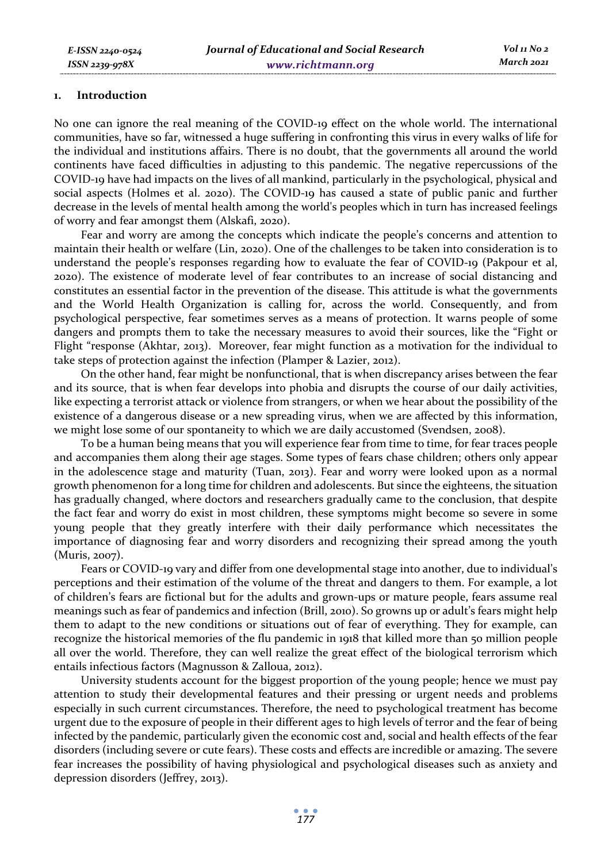#### **1. Introduction**

No one can ignore the real meaning of the COVID-19 effect on the whole world. The international communities, have so far, witnessed a huge suffering in confronting this virus in every walks of life for the individual and institutions affairs. There is no doubt, that the governments all around the world continents have faced difficulties in adjusting to this pandemic. The negative repercussions of the COVID-19 have had impacts on the lives of all mankind, particularly in the psychological, physical and social aspects (Holmes et al. 2020). The COVID-19 has caused a state of public panic and further decrease in the levels of mental health among the world's peoples which in turn has increased feelings of worry and fear amongst them (Alskafi, 2020).

Fear and worry are among the concepts which indicate the people's concerns and attention to maintain their health or welfare (Lin, 2020). One of the challenges to be taken into consideration is to understand the people's responses regarding how to evaluate the fear of COVID-19 (Pakpour et al, 2020). The existence of moderate level of fear contributes to an increase of social distancing and constitutes an essential factor in the prevention of the disease. This attitude is what the governments and the World Health Organization is calling for, across the world. Consequently, and from psychological perspective, fear sometimes serves as a means of protection. It warns people of some dangers and prompts them to take the necessary measures to avoid their sources, like the "Fight or Flight "response (Akhtar, 2013). Moreover, fear might function as a motivation for the individual to take steps of protection against the infection (Plamper & Lazier, 2012).

On the other hand, fear might be nonfunctional, that is when discrepancy arises between the fear and its source, that is when fear develops into phobia and disrupts the course of our daily activities, like expecting a terrorist attack or violence from strangers, or when we hear about the possibility of the existence of a dangerous disease or a new spreading virus, when we are affected by this information, we might lose some of our spontaneity to which we are daily accustomed (Svendsen, 2008).

To be a human being means that you will experience fear from time to time, for fear traces people and accompanies them along their age stages. Some types of fears chase children; others only appear in the adolescence stage and maturity (Tuan, 2013). Fear and worry were looked upon as a normal growth phenomenon for a long time for children and adolescents. But since the eighteens, the situation has gradually changed, where doctors and researchers gradually came to the conclusion, that despite the fact fear and worry do exist in most children, these symptoms might become so severe in some young people that they greatly interfere with their daily performance which necessitates the importance of diagnosing fear and worry disorders and recognizing their spread among the youth (Muris, 2007).

Fears or COVID-19 vary and differ from one developmental stage into another, due to individual's perceptions and their estimation of the volume of the threat and dangers to them. For example, a lot of children's fears are fictional but for the adults and grown-ups or mature people, fears assume real meanings such as fear of pandemics and infection (Brill, 2010). So growns up or adult's fears might help them to adapt to the new conditions or situations out of fear of everything. They for example, can recognize the historical memories of the flu pandemic in 1918 that killed more than 50 million people all over the world. Therefore, they can well realize the great effect of the biological terrorism which entails infectious factors (Magnusson & Zalloua, 2012).

University students account for the biggest proportion of the young people; hence we must pay attention to study their developmental features and their pressing or urgent needs and problems especially in such current circumstances. Therefore, the need to psychological treatment has become urgent due to the exposure of people in their different ages to high levels of terror and the fear of being infected by the pandemic, particularly given the economic cost and, social and health effects of the fear disorders (including severe or cute fears). These costs and effects are incredible or amazing. The severe fear increases the possibility of having physiological and psychological diseases such as anxiety and depression disorders (Jeffrey, 2013).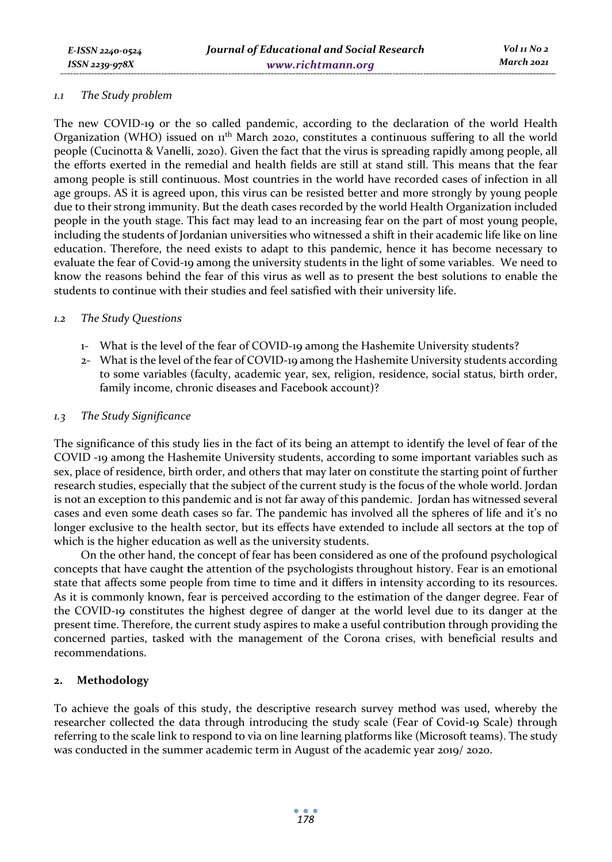#### *1.1 The Study problem*

The new COVID-19 or the so called pandemic, according to the declaration of the world Health Organization (WHO) issued on  $\mu$ <sup>th</sup> March 2020, constitutes a continuous suffering to all the world people (Cucinotta & Vanelli, 2020). Given the fact that the virus is spreading rapidly among people, all the efforts exerted in the remedial and health fields are still at stand still. This means that the fear among people is still continuous. Most countries in the world have recorded cases of infection in all age groups. AS it is agreed upon, this virus can be resisted better and more strongly by young people due to their strong immunity. But the death cases recorded by the world Health Organization included people in the youth stage. This fact may lead to an increasing fear on the part of most young people, including the students of Jordanian universities who witnessed a shift in their academic life like on line education. Therefore, the need exists to adapt to this pandemic, hence it has become necessary to evaluate the fear of Covid-19 among the university students in the light of some variables. We need to know the reasons behind the fear of this virus as well as to present the best solutions to enable the students to continue with their studies and feel satisfied with their university life.

### *1.2 The Study Questions*

- 1- What is the level of the fear of COVID-19 among the Hashemite University students?
- 2- What is the level of the fear of COVID-19 among the Hashemite University students according to some variables (faculty, academic year, sex, religion, residence, social status, birth order, family income, chronic diseases and Facebook account)?

### *1.3 The Study Significance*

The significance of this study lies in the fact of its being an attempt to identify the level of fear of the COVID -19 among the Hashemite University students, according to some important variables such as sex, place of residence, birth order, and others that may later on constitute the starting point of further research studies, especially that the subject of the current study is the focus of the whole world. Jordan is not an exception to this pandemic and is not far away of this pandemic. Jordan has witnessed several cases and even some death cases so far. The pandemic has involved all the spheres of life and it's no longer exclusive to the health sector, but its effects have extended to include all sectors at the top of which is the higher education as well as the university students.

On the other hand, the concept of fear has been considered as one of the profound psychological concepts that have caught **t**he attention of the psychologists throughout history. Fear is an emotional state that affects some people from time to time and it differs in intensity according to its resources. As it is commonly known, fear is perceived according to the estimation of the danger degree. Fear of the COVID-19 constitutes the highest degree of danger at the world level due to its danger at the present time. Therefore, the current study aspires to make a useful contribution through providing the concerned parties, tasked with the management of the Corona crises, with beneficial results and recommendations.

### **2. Methodology**

To achieve the goals of this study, the descriptive research survey method was used, whereby the researcher collected the data through introducing the study scale (Fear of Covid-19 Scale) through referring to the scale link to respond to via on line learning platforms like (Microsoft teams). The study was conducted in the summer academic term in August of the academic year 2019/ 2020.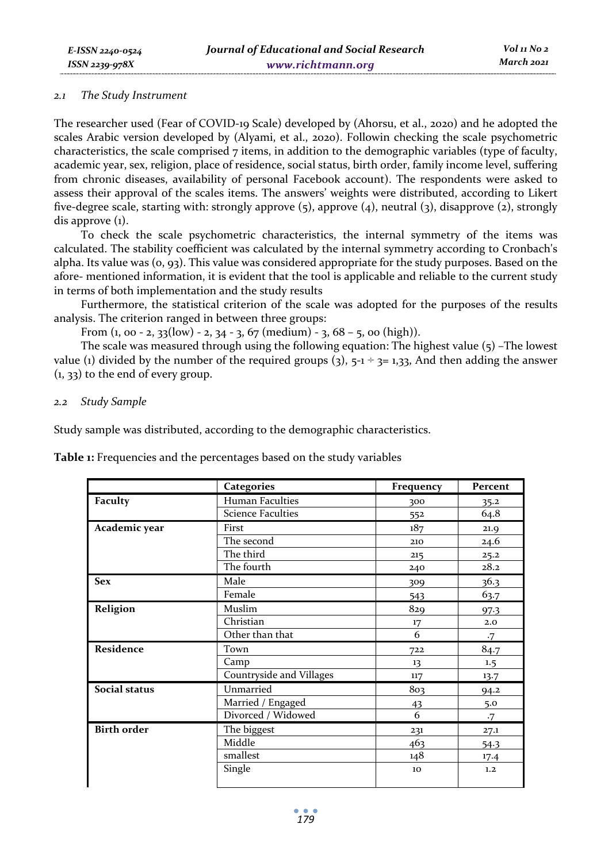#### *2.1 The Study Instrument*

The researcher used (Fear of COVID-19 Scale) developed by (Ahorsu, et al., 2020) and he adopted the scales Arabic version developed by (Alyami, et al., 2020). Followin checking the scale psychometric characteristics, the scale comprised  $7$  items, in addition to the demographic variables (type of faculty, academic year, sex, religion, place of residence, social status, birth order, family income level, suffering from chronic diseases, availability of personal Facebook account). The respondents were asked to assess their approval of the scales items. The answers' weights were distributed, according to Likert five-degree scale, starting with: strongly approve (5), approve (4), neutral (3), disapprove (2), strongly dis approve (1).

To check the scale psychometric characteristics, the internal symmetry of the items was calculated. The stability coefficient was calculated by the internal symmetry according to Cronbach's alpha. Its value was (0, 93). This value was considered appropriate for the study purposes. Based on the afore- mentioned information, it is evident that the tool is applicable and reliable to the current study in terms of both implementation and the study results

Furthermore, the statistical criterion of the scale was adopted for the purposes of the results analysis. The criterion ranged in between three groups:

From  $(1, 00 - 2, 33(low) - 2, 34 - 3, 67 (medium) - 3, 68 - 5, 00 (high)).$ 

The scale was measured through using the following equation: The highest value (5) –The lowest value (1) divided by the number of the required groups (3),  $5-1 \div 3=1,33$ , And then adding the answer (1, 33) to the end of every group.

### *2.2 Study Sample*

Study sample was distributed, according to the demographic characteristics.

**Table 1:** Frequencies and the percentages based on the study variables

|                    | <b>Categories</b>        | Frequency | Percent   |
|--------------------|--------------------------|-----------|-----------|
| Faculty            | <b>Human Faculties</b>   | 300       | 35.2      |
|                    | <b>Science Faculties</b> | 552       | 64.8      |
| Academic year      | First                    | 187       | 21.9      |
|                    | The second               | 210       | 24.6      |
|                    | The third                | 215       | 25.2      |
|                    | The fourth               | 240       | 28.2      |
| <b>Sex</b>         | Male                     | 309       | 36.3      |
|                    | Female                   | 543       | 63.7      |
| Religion           | Muslim                   | 829       | 97.3      |
|                    | Christian                | 17        | 2.0       |
|                    | Other than that          | 6         | $\cdot 7$ |
| Residence          | Town                     | 722       | 84.7      |
|                    | Camp                     | 13        | 1.5       |
|                    | Countryside and Villages | 117       | 13.7      |
| Social status      | Unmarried                | 803       | 94.2      |
|                    | Married / Engaged        | 43        | 5.0       |
|                    | Divorced / Widowed       | 6         | $\cdot 7$ |
| <b>Birth order</b> | The biggest              | 231       | 27.1      |
|                    | Middle                   | 463       | 54.3      |
|                    | smallest                 | 148       | 17.4      |
|                    | Single                   | 10        | 1.2       |
|                    |                          |           |           |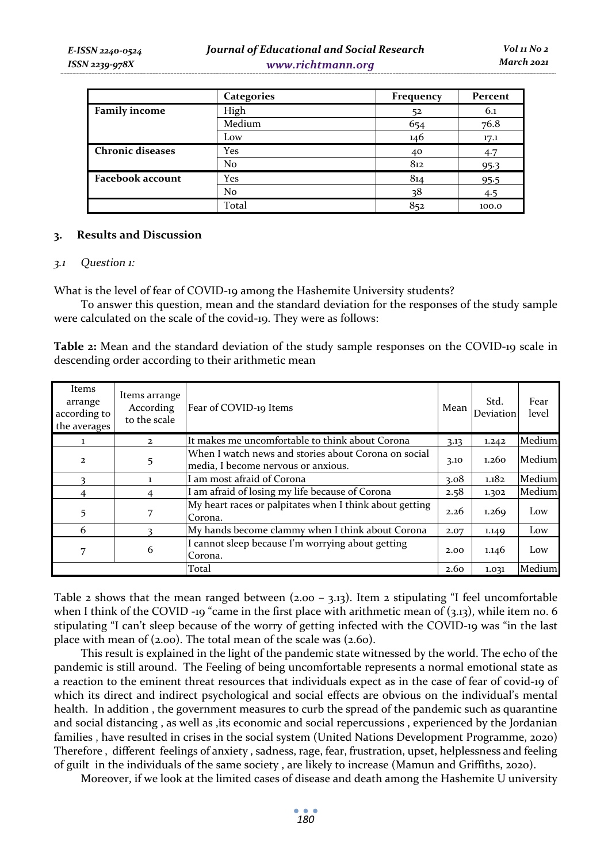|                         | <b>Categories</b> | Frequency | Percent |
|-------------------------|-------------------|-----------|---------|
| <b>Family income</b>    | High              | 52        | 6.1     |
|                         | Medium            | 654       | 76.8    |
|                         | Low               | 146       | 17.1    |
| <b>Chronic diseases</b> | Yes               | 40        | 4.7     |
|                         | No                | 812       | 95.3    |
| <b>Facebook account</b> | Yes               | 814       | 95.5    |
|                         | No                | 28        | 4.5     |
|                         | Total             | 852       | 100.0   |

### **3. Results and Discussion**

#### *3.1 Question 1:*

What is the level of fear of COVID-19 among the Hashemite University students?

To answer this question, mean and the standard deviation for the responses of the study sample were calculated on the scale of the covid-19. They were as follows:

**Table 2:** Mean and the standard deviation of the study sample responses on the COVID-19 scale in descending order according to their arithmetic mean

| Items<br>arrange<br>according to<br>the averages | Items arrange<br>According<br>to the scale | Fear of COVID-19 Items                                                                      | Mean | Std.<br><b>Deviation</b> | Fear<br>level |
|--------------------------------------------------|--------------------------------------------|---------------------------------------------------------------------------------------------|------|--------------------------|---------------|
|                                                  | $\overline{2}$                             | It makes me uncomfortable to think about Corona                                             | 3.13 | 1.242                    | Medium        |
| $\overline{2}$                                   | 5                                          | When I watch news and stories about Corona on social<br>media, I become nervous or anxious. | 3.10 | 1.260                    | Medium        |
|                                                  | 1                                          | I am most afraid of Corona                                                                  | 3.08 | 1.182                    | Medium        |
| 4                                                | 4                                          | I am afraid of losing my life because of Corona                                             | 2.58 | 1.302                    | Medium        |
| 5                                                | 7                                          | My heart races or palpitates when I think about getting<br>Corona.                          | 2.26 | 1.269                    | Low           |
| 6                                                |                                            | My hands become clammy when I think about Corona                                            | 2.07 | 1.149                    | Low           |
| 7                                                | 6                                          | I cannot sleep because I'm worrying about getting<br>Corona.                                | 2.00 | 1.146                    | Low           |
|                                                  |                                            | Total                                                                                       | 2.60 | 1.031                    | Medium        |

Table 2 shows that the mean ranged between  $(2.00 - 3.13)$ . Item 2 stipulating "I feel uncomfortable when I think of the COVID -19 "came in the first place with arithmetic mean of (3.13), while item no. 6 stipulating "I can't sleep because of the worry of getting infected with the COVID-19 was "in the last place with mean of (2.00). The total mean of the scale was (2.60).

This result is explained in the light of the pandemic state witnessed by the world. The echo of the pandemic is still around. The Feeling of being uncomfortable represents a normal emotional state as a reaction to the eminent threat resources that individuals expect as in the case of fear of covid-19 of which its direct and indirect psychological and social effects are obvious on the individual's mental health. In addition , the government measures to curb the spread of the pandemic such as quarantine and social distancing , as well as ,its economic and social repercussions , experienced by the Jordanian families , have resulted in crises in the social system (United Nations Development Programme, 2020) Therefore , different feelings of anxiety , sadness, rage, fear, frustration, upset, helplessness and feeling of guilt in the individuals of the same society , are likely to increase (Mamun and Griffiths, 2020).

Moreover, if we look at the limited cases of disease and death among the Hashemite U university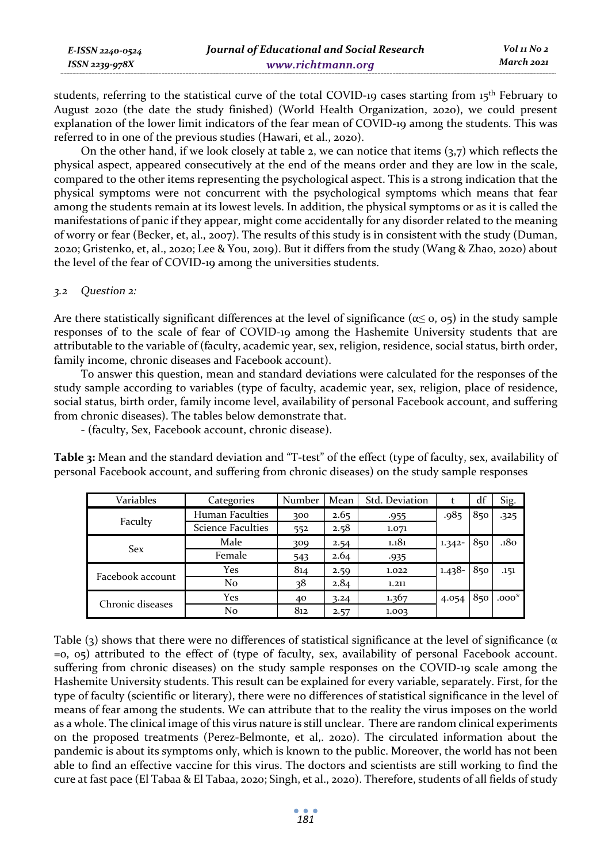| E-ISSN 2240-0524    | Journal of Educational and Social Research | Vol 11 No 2 |
|---------------------|--------------------------------------------|-------------|
| $ISSN$ 2239-97 $8X$ | www.richtmann.org                          | March 2021  |

students, referring to the statistical curve of the total COVID-19 cases starting from 15<sup>th</sup> February to August 2020 (the date the study finished) (World Health Organization, 2020), we could present explanation of the lower limit indicators of the fear mean of COVID-19 among the students. This was referred to in one of the previous studies (Hawari, et al., 2020).

On the other hand, if we look closely at table 2, we can notice that items  $(3,7)$  which reflects the physical aspect, appeared consecutively at the end of the means order and they are low in the scale, compared to the other items representing the psychological aspect. This is a strong indication that the physical symptoms were not concurrent with the psychological symptoms which means that fear among the students remain at its lowest levels. In addition, the physical symptoms or as it is called the manifestations of panic if they appear, might come accidentally for any disorder related to the meaning of worry or fear (Becker, et, al., 2007). The results of this study is in consistent with the study (Duman, 2020; Gristenko, et, al., 2020; Lee & You, 2019). But it differs from the study (Wang & Zhao, 2020) about the level of the fear of COVID-19 among the universities students.

#### *3.2 Question 2:*

Are there statistically significant differences at the level of significance ( $\alpha \leq 0$ ,  $\sigma$ ) in the study sample responses of to the scale of fear of COVID-19 among the Hashemite University students that are attributable to the variable of (faculty, academic year, sex, religion, residence, social status, birth order, family income, chronic diseases and Facebook account).

To answer this question, mean and standard deviations were calculated for the responses of the study sample according to variables (type of faculty, academic year, sex, religion, place of residence, social status, birth order, family income level, availability of personal Facebook account, and suffering from chronic diseases). The tables below demonstrate that.

- (faculty, Sex, Facebook account, chronic disease).

**Table 3:** Mean and the standard deviation and "T-test" of the effect (type of faculty, sex, availability of personal Facebook account, and suffering from chronic diseases) on the study sample responses

| Variables                                                     | Categories               | Number | Mean | Std. Deviation |           | df  | Sig.    |
|---------------------------------------------------------------|--------------------------|--------|------|----------------|-----------|-----|---------|
|                                                               | Human Faculties          | 300    | 2.65 | $-955$         | .985      | 850 | $-325$  |
|                                                               | <b>Science Faculties</b> | 552    | 2.58 | 1.071          |           |     |         |
|                                                               | Male                     | 309    | 2.54 | 1.181          | $1.342 -$ | 850 | .180    |
|                                                               | Female                   | 543    | 2.64 | .935           |           |     |         |
|                                                               | Yes                      | 814    | 2.59 | 1.022          | $1.438 -$ | 850 | .151    |
| Faculty<br><b>Sex</b><br>Facebook account<br>Chronic diseases | N <sub>o</sub>           | 38     | 2.84 | 1.211          |           |     |         |
|                                                               | Yes                      | 40     | 3.24 | 1.367          | 4.054     | 850 | $.000*$ |
|                                                               | No                       | 812    | 2.57 | 1.003          |           |     |         |

Table (3) shows that there were no differences of statistical significance at the level of significance ( $\alpha$ =0, 05) attributed to the effect of (type of faculty, sex, availability of personal Facebook account. suffering from chronic diseases) on the study sample responses on the COVID-19 scale among the Hashemite University students. This result can be explained for every variable, separately. First, for the type of faculty (scientific or literary), there were no differences of statistical significance in the level of means of fear among the students. We can attribute that to the reality the virus imposes on the world as a whole. The clinical image of this virus nature is still unclear. There are random clinical experiments on the proposed treatments (Perez-Belmonte, et al,. 2020). The circulated information about the pandemic is about its symptoms only, which is known to the public. Moreover, the world has not been able to find an effective vaccine for this virus. The doctors and scientists are still working to find the cure at fast pace (El Tabaa & El Tabaa, 2020; Singh, et al., 2020). Therefore, students of all fields of study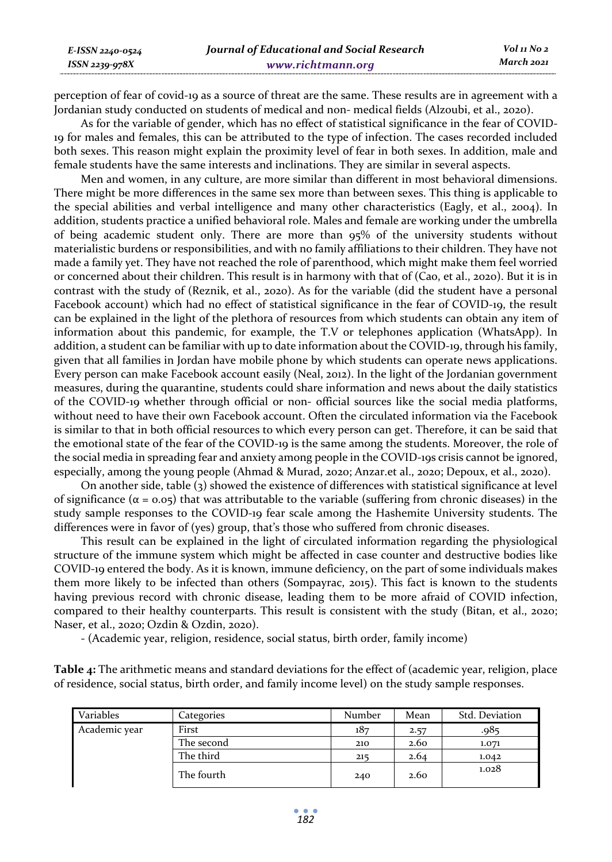perception of fear of covid-19 as a source of threat are the same. These results are in agreement with a Jordanian study conducted on students of medical and non- medical fields (Alzoubi, et al., 2020).

As for the variable of gender, which has no effect of statistical significance in the fear of COVID-19 for males and females, this can be attributed to the type of infection. The cases recorded included both sexes. This reason might explain the proximity level of fear in both sexes. In addition, male and female students have the same interests and inclinations. They are similar in several aspects.

Men and women, in any culture, are more similar than different in most behavioral dimensions. There might be more differences in the same sex more than between sexes. This thing is applicable to the special abilities and verbal intelligence and many other characteristics (Eagly, et al., 2004). In addition, students practice a unified behavioral role. Males and female are working under the umbrella of being academic student only. There are more than 95% of the university students without materialistic burdens or responsibilities, and with no family affiliations to their children. They have not made a family yet. They have not reached the role of parenthood, which might make them feel worried or concerned about their children. This result is in harmony with that of (Cao, et al., 2020). But it is in contrast with the study of (Reznik, et al., 2020). As for the variable (did the student have a personal Facebook account) which had no effect of statistical significance in the fear of COVID-19, the result can be explained in the light of the plethora of resources from which students can obtain any item of information about this pandemic, for example, the T.V or telephones application (WhatsApp). In addition, a student can be familiar with up to date information about the COVID-19, through his family, given that all families in Jordan have mobile phone by which students can operate news applications. Every person can make Facebook account easily (Neal, 2012). In the light of the Jordanian government measures, during the quarantine, students could share information and news about the daily statistics of the COVID-19 whether through official or non- official sources like the social media platforms, without need to have their own Facebook account. Often the circulated information via the Facebook is similar to that in both official resources to which every person can get. Therefore, it can be said that the emotional state of the fear of the COVID-19 is the same among the students. Moreover, the role of the social media in spreading fear and anxiety among people in the COVID-19s crisis cannot be ignored, especially, among the young people (Ahmad & Murad, 2020; Anzar.et al., 2020; Depoux, et al., 2020).

On another side, table (3) showed the existence of differences with statistical significance at level of significance (α = 0.05) that was attributable to the variable (suffering from chronic diseases) in the study sample responses to the COVID-19 fear scale among the Hashemite University students. The differences were in favor of (yes) group, that's those who suffered from chronic diseases.

This result can be explained in the light of circulated information regarding the physiological structure of the immune system which might be affected in case counter and destructive bodies like COVID-19 entered the body. As it is known, immune deficiency, on the part of some individuals makes them more likely to be infected than others (Sompayrac, 2015). This fact is known to the students having previous record with chronic disease, leading them to be more afraid of COVID infection, compared to their healthy counterparts. This result is consistent with the study (Bitan, et al., 2020; Naser, et al., 2020; Ozdin & Ozdin, 2020).

- (Academic year, religion, residence, social status, birth order, family income)

**Table 4:** The arithmetic means and standard deviations for the effect of (academic year, religion, place of residence, social status, birth order, and family income level) on the study sample responses.

| Variables     | Categories | Number | Mean | Std. Deviation |
|---------------|------------|--------|------|----------------|
| Academic year | First      | 187    | 2.57 | -985.          |
|               | The second | 210    | 2.60 | 1.071          |
|               | The third  | 215    | 2.64 | 1.042          |
|               | The fourth | 240    | 2.60 | 1.028          |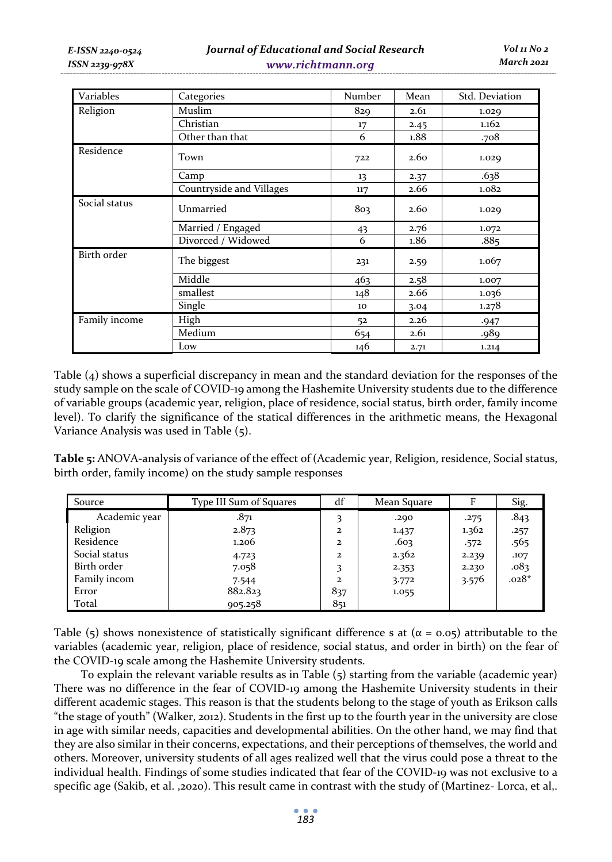| Variables     | Categories               | Number | Mean | Std. Deviation |
|---------------|--------------------------|--------|------|----------------|
| Religion      | Muslim                   | 829    | 2.61 | 1.029          |
|               | Christian                | 17     | 2.45 | 1.162          |
|               | Other than that          | 6      | 1.88 | .708           |
| Residence     | Town                     | 722    | 2.60 | 1.029          |
|               | Camp                     | 13     | 2.37 | .638           |
|               | Countryside and Villages | 117    | 2.66 | 1.082          |
| Social status | Unmarried                | 803    | 2.60 | 1.029          |
|               | Married / Engaged        | 43     | 2.76 | 1.072          |
|               | Divorced / Widowed       | 6      | 1.86 | .885           |
| Birth order   | The biggest              | 231    | 2.59 | 1.067          |
|               | Middle                   | 463    | 2.58 | 1.007          |
|               | smallest                 | 148    | 2.66 | 1.036          |
|               | Single                   | 10     | 3.04 | 1.278          |
| Family income | High                     | 52     | 2.26 | .947           |
|               | Medium                   | 654    | 2.61 | .989           |
|               | Low                      | 146    | 2.71 | 1.214          |

Table (4) shows a superficial discrepancy in mean and the standard deviation for the responses of the study sample on the scale of COVID-19 among the Hashemite University students due to the difference of variable groups (academic year, religion, place of residence, social status, birth order, family income level). To clarify the significance of the statical differences in the arithmetic means, the Hexagonal Variance Analysis was used in Table (5).

**Table 5:** ANOVA-analysis of variance of the effect of (Academic year, Religion, residence, Social status, birth order, family income) on the study sample responses

| Source        | Type III Sum of Squares | df           | Mean Square | F     | Sig.    |
|---------------|-------------------------|--------------|-------------|-------|---------|
| Academic year | .871                    | 3            | .290        | .275  | .843    |
| Religion      | 2.873                   | $\mathbf{z}$ | 1.437       | 1.362 | .257    |
| Residence     | 1.206                   | $\mathbf{z}$ | .603        | .572  | .565    |
| Social status | 4.723                   | $\mathbf{z}$ | 2.362       | 2.239 | .107    |
| Birth order   | 7.058                   | 3            | 2.353       | 2.230 | .083    |
| Family incom  | 7.544                   | $\mathbf{z}$ | 3.772       | 3.576 | $.028*$ |
| Error         | 882.823                 | 837          | 1.055       |       |         |
| Total         | 905.258                 | 851          |             |       |         |

Table (5) shows nonexistence of statistically significant difference s at ( $\alpha$  = 0.05) attributable to the variables (academic year, religion, place of residence, social status, and order in birth) on the fear of the COVID-19 scale among the Hashemite University students.

To explain the relevant variable results as in Table (5) starting from the variable (academic year) There was no difference in the fear of COVID-19 among the Hashemite University students in their different academic stages. This reason is that the students belong to the stage of youth as Erikson calls "the stage of youth" (Walker, 2012). Students in the first up to the fourth year in the university are close in age with similar needs, capacities and developmental abilities. On the other hand, we may find that they are also similar in their concerns, expectations, and their perceptions of themselves, the world and others. Moreover, university students of all ages realized well that the virus could pose a threat to the individual health. Findings of some studies indicated that fear of the COVID-19 was not exclusive to a specific age (Sakib, et al. ,2020). This result came in contrast with the study of (Martinez- Lorca, et al,.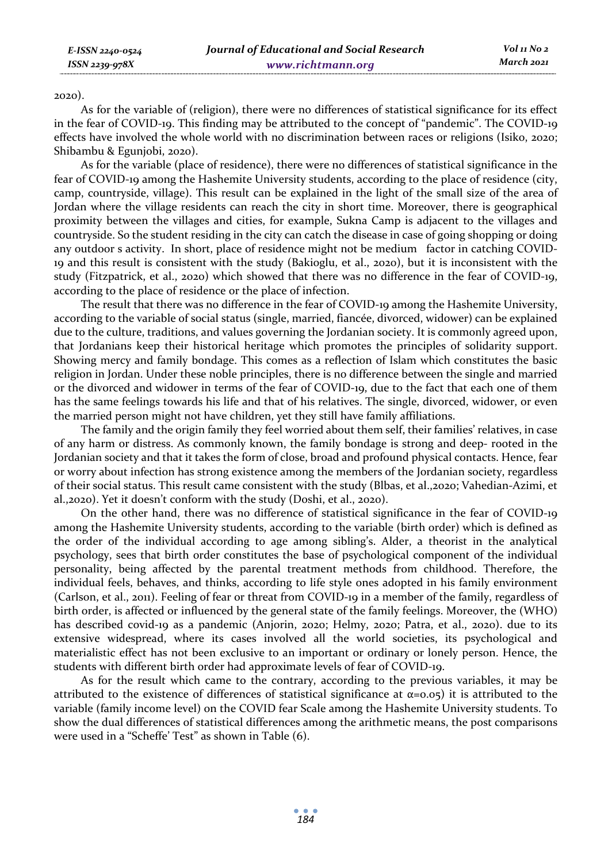#### 2020).

As for the variable of (religion), there were no differences of statistical significance for its effect in the fear of COVID-19. This finding may be attributed to the concept of "pandemic". The COVID-19 effects have involved the whole world with no discrimination between races or religions (Isiko, 2020; Shibambu & Egunjobi, 2020).

As for the variable (place of residence), there were no differences of statistical significance in the fear of COVID-19 among the Hashemite University students, according to the place of residence (city, camp, countryside, village). This result can be explained in the light of the small size of the area of Jordan where the village residents can reach the city in short time. Moreover, there is geographical proximity between the villages and cities, for example, Sukna Camp is adjacent to the villages and countryside. So the student residing in the city can catch the disease in case of going shopping or doing any outdoor s activity. In short, place of residence might not be medium factor in catching COVID-19 and this result is consistent with the study (Bakioglu, et al., 2020), but it is inconsistent with the study (Fitzpatrick, et al., 2020) which showed that there was no difference in the fear of COVID-19, according to the place of residence or the place of infection.

The result that there was no difference in the fear of COVID-19 among the Hashemite University, according to the variable of social status (single, married, fiancée, divorced, widower) can be explained due to the culture, traditions, and values governing the Jordanian society. It is commonly agreed upon, that Jordanians keep their historical heritage which promotes the principles of solidarity support. Showing mercy and family bondage. This comes as a reflection of Islam which constitutes the basic religion in Jordan. Under these noble principles, there is no difference between the single and married or the divorced and widower in terms of the fear of COVID-19, due to the fact that each one of them has the same feelings towards his life and that of his relatives. The single, divorced, widower, or even the married person might not have children, yet they still have family affiliations.

The family and the origin family they feel worried about them self, their families' relatives, in case of any harm or distress. As commonly known, the family bondage is strong and deep- rooted in the Jordanian society and that it takes the form of close, broad and profound physical contacts. Hence, fear or worry about infection has strong existence among the members of the Jordanian society, regardless of their social status. This result came consistent with the study (Blbas, et al.,2020; Vahedian-Azimi, et al.,2020). Yet it doesn't conform with the study (Doshi, et al., 2020).

On the other hand, there was no difference of statistical significance in the fear of COVID-19 among the Hashemite University students, according to the variable (birth order) which is defined as the order of the individual according to age among sibling's. Alder, a theorist in the analytical psychology, sees that birth order constitutes the base of psychological component of the individual personality, being affected by the parental treatment methods from childhood. Therefore, the individual feels, behaves, and thinks, according to life style ones adopted in his family environment (Carlson, et al., 2011). Feeling of fear or threat from COVID-19 in a member of the family, regardless of birth order, is affected or influenced by the general state of the family feelings. Moreover, the (WHO) has described covid-19 as a pandemic (Anjorin, 2020; Helmy, 2020; Patra, et al., 2020). due to its extensive widespread, where its cases involved all the world societies, its psychological and materialistic effect has not been exclusive to an important or ordinary or lonely person. Hence, the students with different birth order had approximate levels of fear of COVID-19.

As for the result which came to the contrary, according to the previous variables, it may be attributed to the existence of differences of statistical significance at  $\alpha$ =0.05) it is attributed to the variable (family income level) on the COVID fear Scale among the Hashemite University students. To show the dual differences of statistical differences among the arithmetic means, the post comparisons were used in a "Scheffe' Test" as shown in Table (6).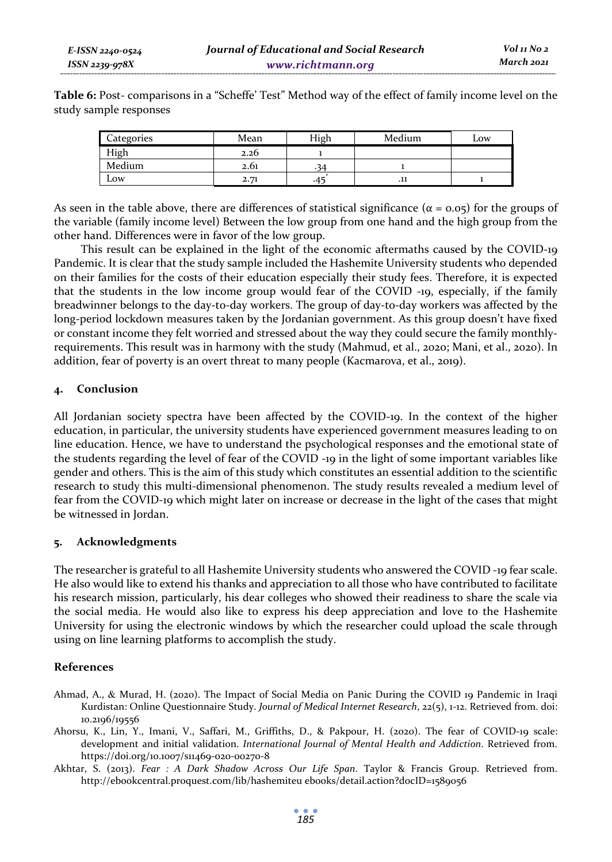**Table 6:** Post- comparisons in a "Scheffe' Test" Method way of the effect of family income level on the study sample responses

| Categories | Mean | High | Medium      | Low |
|------------|------|------|-------------|-----|
| High       | 2.20 |      |             |     |
| Medium     | 2.01 | 34   |             |     |
| Low        | 2.71 |      | $\cdot$ .11 |     |

As seen in the table above, there are differences of statistical significance ( $\alpha$  = 0.05) for the groups of the variable (family income level) Between the low group from one hand and the high group from the other hand. Differences were in favor of the low group.

This result can be explained in the light of the economic aftermaths caused by the COVID-19 Pandemic. It is clear that the study sample included the Hashemite University students who depended on their families for the costs of their education especially their study fees. Therefore, it is expected that the students in the low income group would fear of the COVID -19, especially, if the family breadwinner belongs to the day-to-day workers. The group of day-to-day workers was affected by the long-period lockdown measures taken by the Jordanian government. As this group doesn't have fixed or constant income they felt worried and stressed about the way they could secure the family monthlyrequirements. This result was in harmony with the study (Mahmud, et al., 2020; Mani, et al., 2020). In addition, fear of poverty is an overt threat to many people (Kacmarova, et al., 2019).

### **4. Conclusion**

All Jordanian society spectra have been affected by the COVID-19. In the context of the higher education, in particular, the university students have experienced government measures leading to on line education. Hence, we have to understand the psychological responses and the emotional state of the students regarding the level of fear of the COVID -19 in the light of some important variables like gender and others. This is the aim of this study which constitutes an essential addition to the scientific research to study this multi-dimensional phenomenon. The study results revealed a medium level of fear from the COVID-19 which might later on increase or decrease in the light of the cases that might be witnessed in Jordan.

### **5. Acknowledgments**

The researcher is grateful to all Hashemite University students who answered the COVID -19 fear scale. He also would like to extend his thanks and appreciation to all those who have contributed to facilitate his research mission, particularly, his dear colleges who showed their readiness to share the scale via the social media. He would also like to express his deep appreciation and love to the Hashemite University for using the electronic windows by which the researcher could upload the scale through using on line learning platforms to accomplish the study.

# **References**

- Ahmad, A., & Murad, H. (2020). The Impact of Social Media on Panic During the COVID 19 Pandemic in Iraqi Kurdistan: Online Questionnaire Study. *Journal of Medical Internet Research*, 22(5), 1-12. Retrieved from. doi: 10.2196/19556
- Ahorsu, K., Lin, Y., Imani, V., Saffari, M., Griffiths, D., & Pakpour, H. (2020). The fear of COVID-19 scale: development and initial validation. *International Journal of Mental Health and Addiction*. Retrieved from. https://doi.org/10.1007/s11469-020-00270-8
- Akhtar, S. (2013). *Fear : A Dark Shadow Across Our Life Span*. Taylor & Francis Group. Retrieved from. http://ebookcentral.proquest.com/lib/hashemiteu ebooks/detail.action?docID=1589056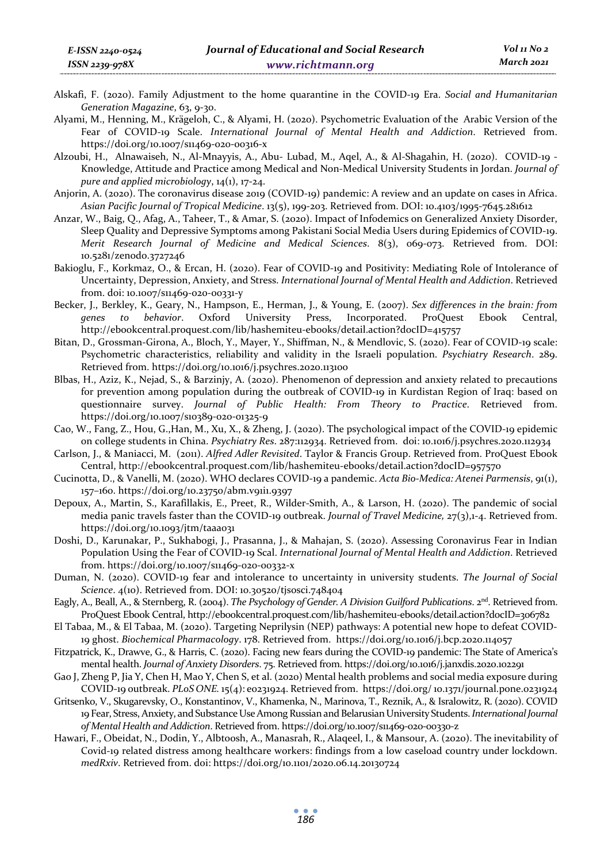- Alskafi, F. (2020). Family Adjustment to the home quarantine in the COVID-19 Era. *Social and Humanitarian Generation Magazine*, 63, 9-30.
- Alyami, M., Henning, M., Krägeloh, C., & Alyami, H. (2020). Psychometric Evaluation of the Arabic Version of the Fear of COVID-19 Scale. *International Journal of Mental Health and Addiction*. Retrieved from. https://doi.org/10.1007/s11469-020-00316-x
- Alzoubi, H., Alnawaiseh, N., Al-Mnayyis, A., Abu- Lubad, M., Aqel, A., & Al-Shagahin, H. (2020). COVID-19 Knowledge, Attitude and Practice among Medical and Non-Medical University Students in Jordan. *Journal of pure and applied microbiology*, 14(1), 17-24.
- Anjorin, A. (2020). The coronavirus disease 2019 (COVID-19) pandemic: A review and an update on cases in Africa. *Asian Pacific Journal of Tropical Medicine*. 13(5), 199-203. Retrieved from. DOI: 10.4103/1995-7645.281612
- Anzar, W., Baig, Q., Afag, A., Taheer, T., & Amar, S. (2020). Impact of Infodemics on Generalized Anxiety Disorder, Sleep Quality and Depressive Symptoms among Pakistani Social Media Users during Epidemics of COVID-19. *Merit Research Journal of Medicine and Medical Sciences*. 8(3), 069-073. Retrieved from. DOI: 10.5281/zenodo.3727246
- Bakioglu, F., Korkmaz, O., & Ercan, H. (2020). Fear of COVID-19 and Positivity: Mediating Role of Intolerance of Uncertainty, Depression, Anxiety, and Stress. *International Journal of Mental Health and Addiction*. Retrieved from. doi: 10.1007/s11469-020-00331-y
- Becker, J., Berkley, K., Geary, N., Hampson, E., Herman, J., & Young, E. (2007). *Sex differences in the brain: from genes to behavior*. Oxford University Press, Incorporated. ProQuest Ebook Central, http://ebookcentral.proquest.com/lib/hashemiteu-ebooks/detail.action?docID=415757
- Bitan, D., Grossman-Girona, A., Bloch, Y., Mayer, Y., Shiffman, N., & Mendlovic, S. (2020). Fear of COVID-19 scale: Psychometric characteristics, reliability and validity in the Israeli population. *Psychiatry Research*. 289. Retrieved from. https://doi.org/10.1016/j.psychres.2020.113100
- Blbas, H., Aziz, K., Nejad, S., & Barzinjy, A. (2020). Phenomenon of depression and anxiety related to precautions for prevention among population during the outbreak of COVID-19 in Kurdistan Region of Iraq: based on questionnaire survey. *Journal of Public Health: From Theory to Practice*. Retrieved from. https://doi.org/10.1007/s10389-020-01325-9
- Cao, W., Fang, Z., Hou, G.,Han, M., Xu, X., & Zheng, J. (2020). The psychological impact of the COVID-19 epidemic on college students in China. *Psychiatry Res*. 287:112934. Retrieved from. doi: 10.1016/j.psychres.2020.112934
- Carlson, J., & Maniacci, M. (2011). *Alfred Adler Revisited*. Taylor & Francis Group. Retrieved from. ProQuest Ebook Central, http://ebookcentral.proquest.com/lib/hashemiteu-ebooks/detail.action?docID=957570
- Cucinotta, D., & Vanelli, M. (2020). WHO declares COVID-19 a pandemic. *Acta Bio-Medica: Atenei Parmensis*, 91(1), 157–160. https://doi.org/10.23750/abm.v91i1.9397
- Depoux, A., Martin, S., Karafillakis, E., Preet, R., Wilder-Smith, A., & Larson, H. (2020). The pandemic of social media panic travels faster than the COVID-19 outbreak. *Journal of Travel Medicine,* 27(3),1-4. Retrieved from. https://doi.org/10.1093/jtm/taaa031
- Doshi, D., Karunakar, P., Sukhabogi, J., Prasanna, J., & Mahajan, S. (2020). Assessing Coronavirus Fear in Indian Population Using the Fear of COVID-19 Scal. *International Journal of Mental Health and Addiction*. Retrieved from. https://doi.org/10.1007/s11469-020-00332-x
- Duman, N. (2020). COVID-19 fear and intolerance to uncertainty in university students. *The Journal of Social Science*. 4(10). Retrieved from. DOI: 10.30520/tjsosci.748404
- Eagly, A., Beall, A., & Sternberg, R. (2004). *The Psychology of Gender. A Division Guilford Publications*. 2<sup>nd</sup>. Retrieved from. ProQuest Ebook Central, http://ebookcentral.proquest.com/lib/hashemiteu-ebooks/detail.action?docID=306782
- El Tabaa, M., & El Tabaa, M. (2020). Targeting Neprilysin (NEP) pathways: A potential new hope to defeat COVID-19 ghost. *Biochemical Pharmacology*. 178. Retrieved from. https://doi.org/10.1016/j.bcp.2020.114057
- Fitzpatrick, K., Drawve, G., & Harris, C. (2020). Facing new fears during the COVID-19 pandemic: The State of America's mental health. *Journal of Anxiety Disorders*. 75. Retrieved from. https://doi.org/10.1016/j.janxdis.2020.102291
- Gao J, Zheng P, Jia Y, Chen H, Mao Y, Chen S, et al. (2020) Mental health problems and social media exposure during COVID-19 outbreak. *PLoS ONE.* 15(4): e0231924. Retrieved from. https://doi.org/ 10.1371/journal.pone.0231924
- Gritsenko, V., Skugarevsky, O., Konstantinov, V., Khamenka, N., Marinova, T., Reznik, A., & Isralowitz, R. (2020). COVID 19 Fear, Stress, Anxiety, and Substance Use Among Russian and Belarusian University Students. *International Journal of Mental Health and Addiction*. Retrieved from. https://doi.org/10.1007/s11469-020-00330-z
- Hawari, F., Obeidat, N., Dodin, Y., Albtoosh, A., Manasrah, R., Alaqeel, I., & Mansour, A. (2020). The inevitability of Covid-19 related distress among healthcare workers: findings from a low caseload country under lockdown. *medRxiv*. Retrieved from. doi: https://doi.org/10.1101/2020.06.14.20130724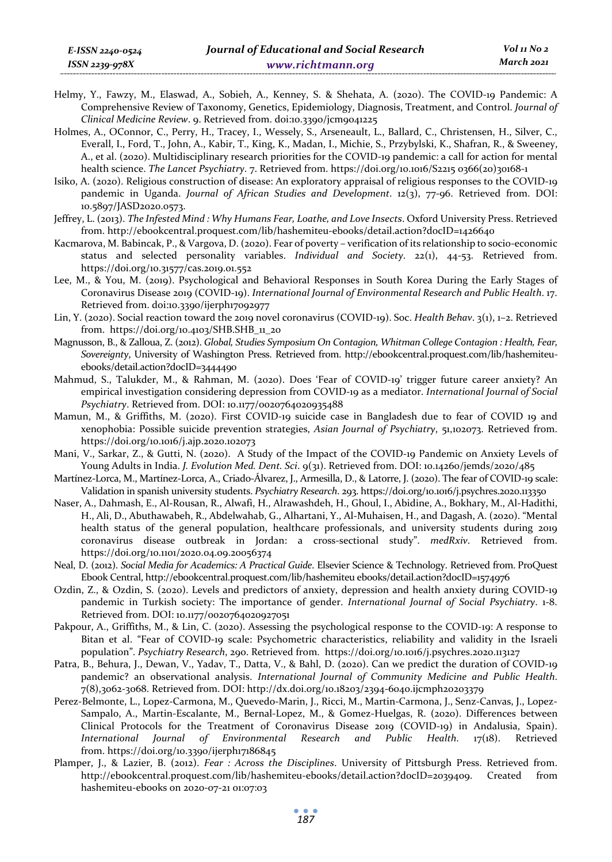- Helmy, Y., Fawzy, M., Elaswad, A., Sobieh, A., Kenney, S. & Shehata, A. (2020). The COVID-19 Pandemic: A Comprehensive Review of Taxonomy, Genetics, Epidemiology, Diagnosis, Treatment, and Control. *Journal of Clinical Medicine Review*. 9. Retrieved from. doi:10.3390/jcm9041225
- Holmes, A., OConnor, C., Perry, H., Tracey, I., Wessely, S., Arseneault, L., Ballard, C., Christensen, H., Silver, C., Everall, I., Ford, T., John, A., Kabir, T., King, K., Madan, I., Michie, S., Przybylski, K., Shafran, R., & Sweeney, A., et al. (2020). Multidisciplinary research priorities for the COVID-19 pandemic: a call for action for mental health science. *The Lancet Psychiatry*. 7. Retrieved from. https://doi.org/10.1016/S2215 0366(20)30168-1
- Isiko, A. (2020). Religious construction of disease: An exploratory appraisal of religious responses to the COVID-19 pandemic in Uganda. *Journal of African Studies and Development*. 12(3), 77-96. Retrieved from. DOI: 10.5897/JASD2020.0573.
- Jeffrey, L. (2013). *The Infested Mind : Why Humans Fear, Loathe, and Love Insects*. Oxford University Press. Retrieved from. http://ebookcentral.proquest.com/lib/hashemiteu-ebooks/detail.action?docID=1426640
- Kacmarova, M. Babincak, P., & Vargova, D. (2020). Fear of poverty verification of its relationship to socio-economic status and selected personality variables. *Individual and Society*. 22(1), 44-53. Retrieved from. https://doi.org/10.31577/cas.2019.01.552
- Lee, M., & You, M. (2019). Psychological and Behavioral Responses in South Korea During the Early Stages of Coronavirus Disease 2019 (COVID-19). *International Journal of Environmental Research and Public Health*. 17. Retrieved from. doi:10.3390/ijerph17092977
- Lin, Y. (2020). Social reaction toward the 2019 novel coronavirus (COVID-19). Soc. *Health Behav*. 3(1), 1–2. Retrieved from. https://doi.org/10.4103/SHB.SHB\_11\_20
- Magnusson, B., & Zalloua, Z. (2012). *Global, Studies Symposium On Contagion, Whitman College Contagion : Health, Fear, Sovereignty*, University of Washington Press. Retrieved from. http://ebookcentral.proquest.com/lib/hashemiteuebooks/detail.action?docID=3444490
- Mahmud, S., Talukder, M., & Rahman, M. (2020). Does 'Fear of COVID-19' trigger future career anxiety? An empirical investigation considering depression from COVID-19 as a mediator. *International Journal of Social Psychiatry*. Retrieved from. DOI: 10.1177/0020764020935488
- Mamun, M., & Griffiths, M. (2020). First COVID-19 suicide case in Bangladesh due to fear of COVID 19 and xenophobia: Possible suicide prevention strategies, *Asian Journal of Psychiatry*, 51,102073. Retrieved from. https://doi.org/10.1016/j.ajp.2020.102073
- Mani, V., Sarkar, Z., & Gutti, N. (2020). A Study of the Impact of the COVID-19 Pandemic on Anxiety Levels of Young Adults in India. *J. Evolution Med. Dent. Sci*. 9(31). Retrieved from. DOI: 10.14260/jemds/2020/485
- Martínez-Lorca, M., Martínez-Lorca, A., Criado-Álvarez, J., Armesilla, D., & Latorre, J. (2020). The fear of COVID-19 scale: Validation in spanish university students. *Psychiatry Research*. 293. https://doi.org/10.1016/j.psychres.2020.113350
- Naser, A., Dahmash, E., Al-Rousan, R., Alwafi, H., Alrawashdeh, H., Ghoul, I., Abidine, A., Bokhary, M., Al-Hadithi, H., Ali, D., Abuthawabeh, R., Abdelwahab, G., Alhartani, Y., Al-Muhaisen, H., and Dagash, A. (2020). "Mental health status of the general population, healthcare professionals, and university students during 2019 coronavirus disease outbreak in Jordan: a cross-sectional study". *medRxiv*. Retrieved from. https://doi.org/10.1101/2020.04.09.20056374
- Neal, D. (2012). *Social Media for Academics: A Practical Guide*. Elsevier Science & Technology. Retrieved from. ProQuest Ebook Central, http://ebookcentral.proquest.com/lib/hashemiteu ebooks/detail.action?docID=1574976
- Ozdin, Z., & Ozdin, S. (2020). Levels and predictors of anxiety, depression and health anxiety during COVID-19 pandemic in Turkish society: The importance of gender. *International Journal of Social Psychiatry*. 1-8. Retrieved from. DOI: 10.1177/0020764020927051
- Pakpour, A., Griffiths, M., & Lin, C. (2020). Assessing the psychological response to the COVID-19: A response to Bitan et al. "Fear of COVID-19 scale: Psychometric characteristics, reliability and validity in the Israeli population". *Psychiatry Research*, 290. Retrieved from. https://doi.org/10.1016/j.psychres.2020.113127
- Patra, B., Behura, J., Dewan, V., Yadav, T., Datta, V., & Bahl, D. (2020). Can we predict the duration of COVID-19 pandemic? an observational analysis. *International Journal of Community Medicine and Public Health*. 7(8),3062-3068. Retrieved from. DOI: http://dx.doi.org/10.18203/2394-6040.ijcmph20203379
- Perez-Belmonte, L., Lopez-Carmona, M., Quevedo-Marin, J., Ricci, M., Martin-Carmona, J., Senz-Canvas, J., Lopez-Sampalo, A., Martin-Escalante, M., Bernal-Lopez, M., & Gomez-Huelgas, R. (2020). Differences between Clinical Protocols for the Treatment of Coronavirus Disease 2019 (COVID-19) in Andalusia, Spain). *International Journal of Environmental Research and Public Health*. 17(18). Retrieved from. https://doi.org/10.3390/ijerph17186845
- Plamper, J., & Lazier, B. (2012). *Fear : Across the Disciplines*. University of Pittsburgh Press. Retrieved from. http://ebookcentral.proquest.com/lib/hashemiteu-ebooks/detail.action?docID=2039409. Created from hashemiteu-ebooks on 2020-07-21 01:07:03